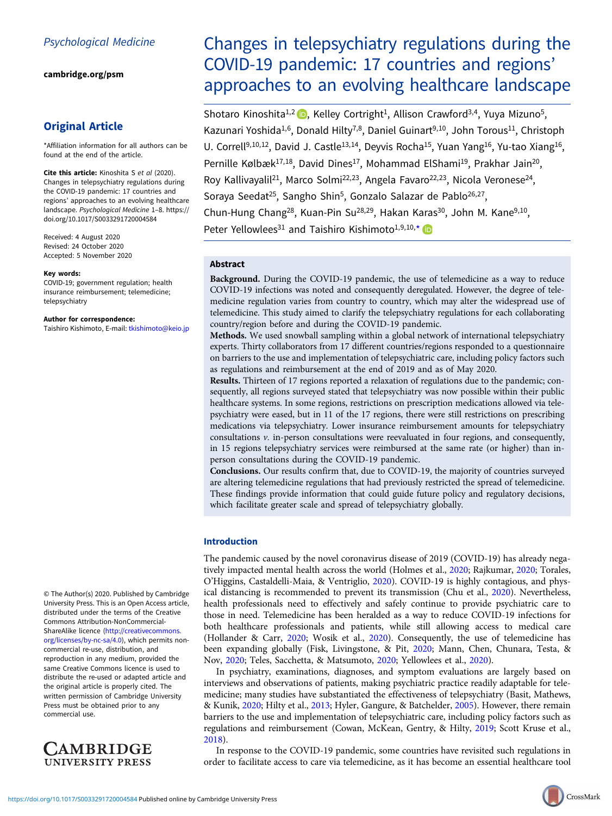[cambridge.org/psm](https://www.cambridge.org/psm)

## Original Article

\*Affiliation information for all authors can be found at the end of the article.

Cite this article: Kinoshita S et al (2020). Changes in telepsychiatry regulations during the COVID-19 pandemic: 17 countries and regions' approaches to an evolving healthcare landscape. Psychological Medicine 1–8. [https://](https://doi.org/10.1017/S0033291720004584) [doi.org/10.1017/S0033291720004584](https://doi.org/10.1017/S0033291720004584)

Received: 4 August 2020 Revised: 24 October 2020 Accepted: 5 November 2020

#### Key words:

COVID-19; government regulation; health insurance reimbursement; telemedicine; telepsychiatry

#### Author for correspondence:

Taishiro Kishimoto, E-mail: [tkishimoto@keio.jp](mailto:tkishimoto@keio.jp)

© The Author(s) 2020. Published by Cambridge University Press. This is an Open Access article, distributed under the terms of the Creative Commons Attribution-NonCommercial-ShareAlike licence ([http://creativecommons.](http://creativecommons.org/licenses/by-nc-sa/4.0) [org/licenses/by-nc-sa/4.0](http://creativecommons.org/licenses/by-nc-sa/4.0)), which permits noncommercial re-use, distribution, and reproduction in any medium, provided the same Creative Commons licence is used to distribute the re-used or adapted article and the original article is properly cited. The written permission of Cambridge University Press must be obtained prior to any commercial use.



# Changes in telepsychiatry regulations during the COVID-19 pandemic: 17 countries and regions' approaches to an evolving healthcare landscape

Shotaro Kinoshita<sup>1[,](https://orcid.org/0000-0002-8168-383X)2</sup>  $\bullet$ , Kelley Cortright<sup>1</sup>, Allison Crawford<sup>3,4</sup>, Yuya Mizuno<sup>5</sup>, Kazunari Yoshida<sup>1,6</sup>, Donald Hilty<sup>7,8</sup>, Daniel Guinart<sup>9,10</sup>, John Torous<sup>11</sup>, Christoph U. Correll<sup>9,10,12</sup>, David J. Castle<sup>13,14</sup>, Deyvis Rocha<sup>15</sup>, Yuan Yang<sup>16</sup>, Yu-tao Xiang<sup>16</sup>, Pernille Kølbæk<sup>17,18</sup>, David Dines<sup>17</sup>, Mohammad ElShami<sup>19</sup>, Prakhar Jain<sup>20</sup>, Roy Kallivayalil<sup>21</sup>, Marco Solmi<sup>22,23</sup>, Angela Favaro<sup>22,23</sup>, Nicola Veronese<sup>24</sup>, Soraya Seedat<sup>25</sup>, Sangho Shin<sup>5</sup>, Gonzalo Salazar de Pablo<sup>26,27</sup>, Chun-Hung Chang<sup>28</sup>, Kuan-Pin Su<sup>28,29</sup>, Hakan Karas<sup>30</sup>, John M. Kane<sup>9,10</sup>, Peter Yellowlees<sup>31</sup> and Taishiro Kishimoto<sup>1,9,10,\*</sup>

## Abstract

Background. During the COVID-19 pandemic, the use of telemedicine as a way to reduce COVID-19 infections was noted and consequently deregulated. However, the degree of telemedicine regulation varies from country to country, which may alter the widespread use of telemedicine. This study aimed to clarify the telepsychiatry regulations for each collaborating country/region before and during the COVID-19 pandemic.

Methods. We used snowball sampling within a global network of international telepsychiatry experts. Thirty collaborators from 17 different countries/regions responded to a questionnaire on barriers to the use and implementation of telepsychiatric care, including policy factors such as regulations and reimbursement at the end of 2019 and as of May 2020.

Results. Thirteen of 17 regions reported a relaxation of regulations due to the pandemic; consequently, all regions surveyed stated that telepsychiatry was now possible within their public healthcare systems. In some regions, restrictions on prescription medications allowed via telepsychiatry were eased, but in 11 of the 17 regions, there were still restrictions on prescribing medications via telepsychiatry. Lower insurance reimbursement amounts for telepsychiatry consultations v. in-person consultations were reevaluated in four regions, and consequently, in 15 regions telepsychiatry services were reimbursed at the same rate (or higher) than inperson consultations during the COVID-19 pandemic.

Conclusions. Our results confirm that, due to COVID-19, the majority of countries surveyed are altering telemedicine regulations that had previously restricted the spread of telemedicine. These findings provide information that could guide future policy and regulatory decisions, which facilitate greater scale and spread of telepsychiatry globally.

## Introduction

The pandemic caused by the novel coronavirus disease of 2019 (COVID-19) has already negatively impacted mental health across the world (Holmes et al., [2020;](#page-7-0) Rajkumar, [2020](#page-7-0); Torales, O'Higgins, Castaldelli-Maia, & Ventriglio, [2020](#page-7-0)). COVID-19 is highly contagious, and physical distancing is recommended to prevent its transmission (Chu et al., [2020\)](#page-7-0). Nevertheless, health professionals need to effectively and safely continue to provide psychiatric care to those in need. Telemedicine has been heralded as a way to reduce COVID-19 infections for both healthcare professionals and patients, while still allowing access to medical care (Hollander & Carr, [2020;](#page-7-0) Wosik et al., [2020](#page-7-0)). Consequently, the use of telemedicine has been expanding globally (Fisk, Livingstone, & Pit, [2020](#page-7-0); Mann, Chen, Chunara, Testa, & Nov, [2020;](#page-7-0) Teles, Sacchetta, & Matsumoto, [2020](#page-7-0); Yellowlees et al., [2020](#page-7-0)).

In psychiatry, examinations, diagnoses, and symptom evaluations are largely based on interviews and observations of patients, making psychiatric practice readily adaptable for telemedicine; many studies have substantiated the effectiveness of telepsychiatry (Basit, Mathews, & Kunik, [2020](#page-7-0); Hilty et al., [2013](#page-7-0); Hyler, Gangure, & Batchelder, [2005](#page-7-0)). However, there remain barriers to the use and implementation of telepsychiatric care, including policy factors such as regulations and reimbursement (Cowan, McKean, Gentry, & Hilty, [2019;](#page-7-0) Scott Kruse et al., [2018\)](#page-7-0).

In response to the COVID-19 pandemic, some countries have revisited such regulations in order to facilitate access to care via telemedicine, as it has become an essential healthcare tool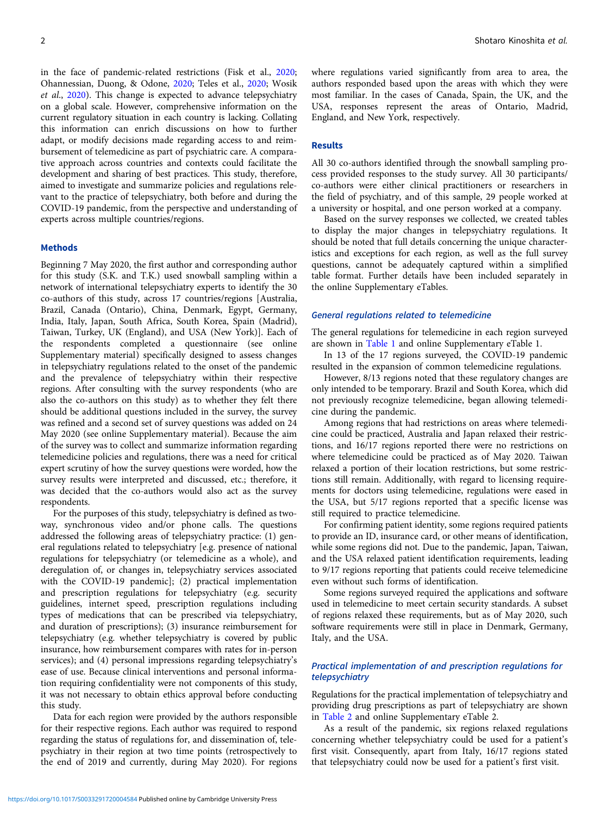in the face of pandemic-related restrictions (Fisk et al., [2020](#page-7-0); Ohannessian, Duong, & Odone, [2020](#page-7-0); Teles et al., [2020](#page-7-0); Wosik et al., [2020\)](#page-7-0). This change is expected to advance telepsychiatry on a global scale. However, comprehensive information on the current regulatory situation in each country is lacking. Collating this information can enrich discussions on how to further adapt, or modify decisions made regarding access to and reimbursement of telemedicine as part of psychiatric care. A comparative approach across countries and contexts could facilitate the development and sharing of best practices. This study, therefore, aimed to investigate and summarize policies and regulations relevant to the practice of telepsychiatry, both before and during the COVID-19 pandemic, from the perspective and understanding of experts across multiple countries/regions.

## Methods

Beginning 7 May 2020, the first author and corresponding author for this study (S.K. and T.K.) used snowball sampling within a network of international telepsychiatry experts to identify the 30 co-authors of this study, across 17 countries/regions [Australia, Brazil, Canada (Ontario), China, Denmark, Egypt, Germany, India, Italy, Japan, South Africa, South Korea, Spain (Madrid), Taiwan, Turkey, UK (England), and USA (New York)]. Each of the respondents completed a questionnaire (see online Supplementary material) specifically designed to assess changes in telepsychiatry regulations related to the onset of the pandemic and the prevalence of telepsychiatry within their respective regions. After consulting with the survey respondents (who are also the co-authors on this study) as to whether they felt there should be additional questions included in the survey, the survey was refined and a second set of survey questions was added on 24 May 2020 (see online Supplementary material). Because the aim of the survey was to collect and summarize information regarding telemedicine policies and regulations, there was a need for critical expert scrutiny of how the survey questions were worded, how the survey results were interpreted and discussed, etc.; therefore, it was decided that the co-authors would also act as the survey respondents.

For the purposes of this study, telepsychiatry is defined as twoway, synchronous video and/or phone calls. The questions addressed the following areas of telepsychiatry practice: (1) general regulations related to telepsychiatry [e.g. presence of national regulations for telepsychiatry (or telemedicine as a whole), and deregulation of, or changes in, telepsychiatry services associated with the COVID-19 pandemic]; (2) practical implementation and prescription regulations for telepsychiatry (e.g. security guidelines, internet speed, prescription regulations including types of medications that can be prescribed via telepsychiatry, and duration of prescriptions); (3) insurance reimbursement for telepsychiatry (e.g. whether telepsychiatry is covered by public insurance, how reimbursement compares with rates for in-person services); and (4) personal impressions regarding telepsychiatry's ease of use. Because clinical interventions and personal information requiring confidentiality were not components of this study, it was not necessary to obtain ethics approval before conducting this study.

Data for each region were provided by the authors responsible for their respective regions. Each author was required to respond regarding the status of regulations for, and dissemination of, telepsychiatry in their region at two time points (retrospectively to the end of 2019 and currently, during May 2020). For regions where regulations varied significantly from area to area, the authors responded based upon the areas with which they were most familiar. In the cases of Canada, Spain, the UK, and the USA, responses represent the areas of Ontario, Madrid, England, and New York, respectively.

## **Results**

All 30 co-authors identified through the snowball sampling process provided responses to the study survey. All 30 participants/ co-authors were either clinical practitioners or researchers in the field of psychiatry, and of this sample, 29 people worked at a university or hospital, and one person worked at a company.

Based on the survey responses we collected, we created tables to display the major changes in telepsychiatry regulations. It should be noted that full details concerning the unique characteristics and exceptions for each region, as well as the full survey questions, cannot be adequately captured within a simplified table format. Further details have been included separately in the online Supplementary eTables.

#### General regulations related to telemedicine

The general regulations for telemedicine in each region surveyed are shown in [Table 1](#page-2-0) and online Supplementary eTable 1.

In 13 of the 17 regions surveyed, the COVID-19 pandemic resulted in the expansion of common telemedicine regulations.

However, 8/13 regions noted that these regulatory changes are only intended to be temporary. Brazil and South Korea, which did not previously recognize telemedicine, began allowing telemedicine during the pandemic.

Among regions that had restrictions on areas where telemedicine could be practiced, Australia and Japan relaxed their restrictions, and 16/17 regions reported there were no restrictions on where telemedicine could be practiced as of May 2020. Taiwan relaxed a portion of their location restrictions, but some restrictions still remain. Additionally, with regard to licensing requirements for doctors using telemedicine, regulations were eased in the USA, but 5/17 regions reported that a specific license was still required to practice telemedicine.

For confirming patient identity, some regions required patients to provide an ID, insurance card, or other means of identification, while some regions did not. Due to the pandemic, Japan, Taiwan, and the USA relaxed patient identification requirements, leading to 9/17 regions reporting that patients could receive telemedicine even without such forms of identification.

Some regions surveyed required the applications and software used in telemedicine to meet certain security standards. A subset of regions relaxed these requirements, but as of May 2020, such software requirements were still in place in Denmark, Germany, Italy, and the USA.

## Practical implementation of and prescription regulations for telepsychiatry

Regulations for the practical implementation of telepsychiatry and providing drug prescriptions as part of telepsychiatry are shown in [Table 2](#page-3-0) and online Supplementary eTable 2.

As a result of the pandemic, six regions relaxed regulations concerning whether telepsychiatry could be used for a patient's first visit. Consequently, apart from Italy, 16/17 regions stated that telepsychiatry could now be used for a patient's first visit.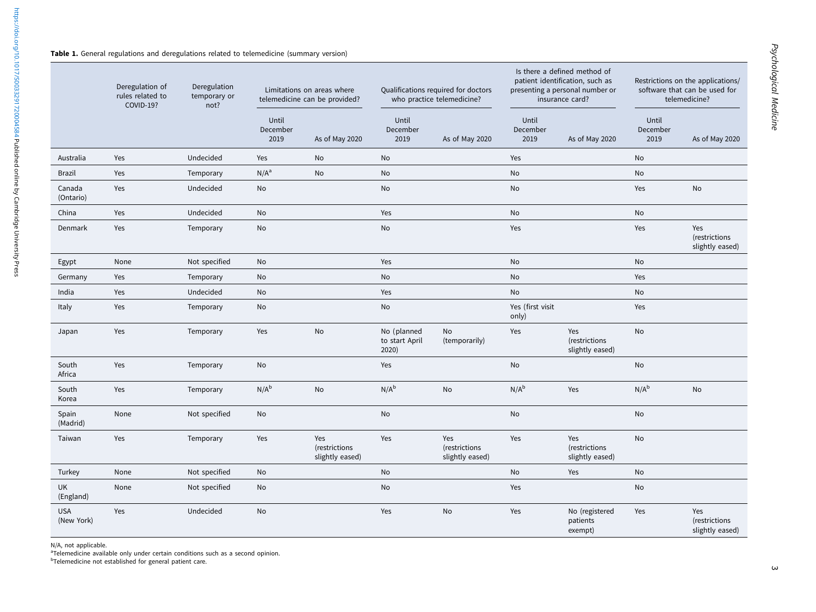<span id="page-2-0"></span>

|  | Table 1. General regulations and deregulations related to telemedicine (summary version) |  |  |  |
|--|------------------------------------------------------------------------------------------|--|--|--|
|  |                                                                                          |  |  |  |

|                          | Deregulation of<br>rules related to<br>COVID-19? | Deregulation<br>temporary or<br>not? |                           | Limitations on areas where<br>telemedicine can be provided? | Qualifications required for doctors<br>who practice telemedicine? |                                         | Is there a defined method of<br>patient identification, such as<br>presenting a personal number or<br>insurance card? |                                         | Restrictions on the applications/<br>software that can be used for<br>telemedicine? |                                         |
|--------------------------|--------------------------------------------------|--------------------------------------|---------------------------|-------------------------------------------------------------|-------------------------------------------------------------------|-----------------------------------------|-----------------------------------------------------------------------------------------------------------------------|-----------------------------------------|-------------------------------------------------------------------------------------|-----------------------------------------|
|                          |                                                  |                                      | Until<br>December<br>2019 | As of May 2020                                              | Until<br>December<br>2019                                         | As of May 2020                          | Until<br>December<br>2019                                                                                             | As of May 2020                          | Until<br>December<br>2019                                                           | As of May 2020                          |
| Australia                | Yes                                              | Undecided                            | Yes                       | No                                                          | No                                                                |                                         | Yes                                                                                                                   |                                         | No                                                                                  |                                         |
| <b>Brazil</b>            | Yes                                              | Temporary                            | N/A <sup>a</sup>          | $\operatorname{\mathsf{No}}$                                | No                                                                |                                         | No                                                                                                                    |                                         | No                                                                                  |                                         |
| Canada<br>(Ontario)      | Yes                                              | Undecided                            | No                        |                                                             | <b>No</b>                                                         |                                         | <b>No</b>                                                                                                             |                                         | Yes                                                                                 | No                                      |
| China                    | Yes                                              | Undecided                            | No                        |                                                             | Yes                                                               |                                         | No                                                                                                                    |                                         | $\operatorname{\mathsf{No}}$                                                        |                                         |
| Denmark                  | Yes                                              | Temporary                            | No                        |                                                             | No                                                                |                                         | Yes                                                                                                                   |                                         | Yes                                                                                 | Yes<br>(restrictions<br>slightly eased) |
| Egypt                    | None                                             | Not specified                        | No                        |                                                             | Yes                                                               |                                         | No                                                                                                                    |                                         | No                                                                                  |                                         |
| Germany                  | Yes                                              | Temporary                            | No                        |                                                             | No                                                                |                                         | No                                                                                                                    |                                         | Yes                                                                                 |                                         |
| India                    | Yes                                              | Undecided                            | No                        |                                                             | Yes                                                               |                                         | No                                                                                                                    |                                         | No                                                                                  |                                         |
| Italy                    | Yes                                              | Temporary                            | No                        |                                                             | No                                                                |                                         | Yes (first visit<br>only)                                                                                             |                                         | Yes                                                                                 |                                         |
| Japan                    | Yes                                              | Temporary                            | Yes                       | No                                                          | No (planned<br>to start April<br>2020)                            | No<br>(temporarily)                     | Yes                                                                                                                   | Yes<br>(restrictions<br>slightly eased) | <b>No</b>                                                                           |                                         |
| South<br>Africa          | Yes                                              | Temporary                            | No                        |                                                             | Yes                                                               |                                         | No                                                                                                                    |                                         | No                                                                                  |                                         |
| South<br>Korea           | Yes                                              | Temporary                            | $N/A^b$                   | No                                                          | $N/A^b$                                                           | <b>No</b>                               | $N/A^b$                                                                                                               | Yes                                     | $N/A^b$                                                                             | No                                      |
| Spain<br>(Madrid)        | None                                             | Not specified                        | No                        |                                                             | No                                                                |                                         | No                                                                                                                    |                                         | No                                                                                  |                                         |
| Taiwan                   | Yes                                              | Temporary                            | Yes                       | Yes<br>(restrictions<br>slightly eased)                     | Yes                                                               | Yes<br>(restrictions<br>slightly eased) | Yes                                                                                                                   | Yes<br>(restrictions<br>slightly eased) | No                                                                                  |                                         |
| Turkey                   | None                                             | Not specified                        | No                        |                                                             | No                                                                |                                         | No                                                                                                                    | Yes                                     | No                                                                                  |                                         |
| UK<br>(England)          | None                                             | Not specified                        | No                        |                                                             | No                                                                |                                         | Yes                                                                                                                   |                                         | No                                                                                  |                                         |
| <b>USA</b><br>(New York) | Yes                                              | Undecided                            | No                        |                                                             | Yes                                                               | No                                      | Yes                                                                                                                   | No (registered<br>patients<br>exempt)   | Yes                                                                                 | Yes<br>(restrictions<br>slightly eased) |

N/A, not applicable.<br><sup>a</sup>Telemedicine available only under certain conditions such as a second opinion.<br><sup>b</sup>Telemedicine not established for general patient care.

 $\omega$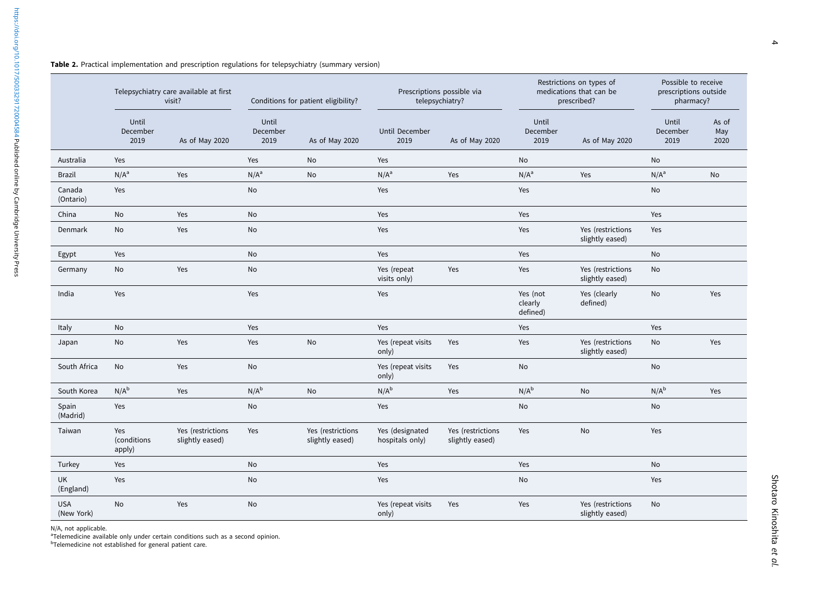<span id="page-3-0"></span>

| Table 2. Practical implementation and prescription regulations for telepsychiatry (summary version) |  |  |
|-----------------------------------------------------------------------------------------------------|--|--|

|                          | Telepsychiatry care available at first<br>visit? |                                      | Conditions for patient eligibility? |                                      | Prescriptions possible via<br>telepsychiatry? |                                      | Restrictions on types of<br>medications that can be<br>prescribed? |                                      | Possible to receive<br>prescriptions outside<br>pharmacy? |                      |
|--------------------------|--------------------------------------------------|--------------------------------------|-------------------------------------|--------------------------------------|-----------------------------------------------|--------------------------------------|--------------------------------------------------------------------|--------------------------------------|-----------------------------------------------------------|----------------------|
|                          | Until<br>December<br>2019                        | As of May 2020                       | Until<br>December<br>2019           | As of May 2020                       | Until December<br>2019                        | As of May 2020                       | Until<br>December<br>2019                                          | As of May 2020                       | Until<br>December<br>2019                                 | As of<br>May<br>2020 |
| Australia                | Yes                                              |                                      | Yes                                 | No                                   | Yes                                           |                                      | No                                                                 |                                      | No                                                        |                      |
| <b>Brazil</b>            | N/A <sup>a</sup>                                 | Yes                                  | N/A <sup>a</sup>                    | No                                   | $N/A^a$                                       | Yes                                  | $N/A^a$                                                            | Yes                                  | $N/A^a$                                                   | No                   |
| Canada<br>(Ontario)      | Yes                                              |                                      | No                                  |                                      | Yes                                           |                                      | Yes                                                                |                                      | No                                                        |                      |
| China                    | No                                               | Yes                                  | No                                  |                                      | Yes                                           |                                      | Yes                                                                |                                      | Yes                                                       |                      |
| Denmark                  | No                                               | Yes                                  | No                                  |                                      | Yes                                           |                                      | Yes                                                                | Yes (restrictions<br>slightly eased) | Yes                                                       |                      |
| Egypt                    | Yes                                              |                                      | No                                  |                                      | Yes                                           |                                      | Yes                                                                |                                      | No                                                        |                      |
| Germany                  | No                                               | Yes                                  | No                                  |                                      | Yes (repeat<br>visits only)                   | Yes                                  | Yes                                                                | Yes (restrictions<br>slightly eased) | No                                                        |                      |
| India                    | Yes                                              |                                      | Yes                                 |                                      | Yes                                           |                                      | Yes (not<br>clearly<br>defined)                                    | Yes (clearly<br>defined)             | No                                                        | Yes                  |
| Italy                    | No                                               |                                      | Yes                                 |                                      | Yes                                           |                                      | Yes                                                                |                                      | Yes                                                       |                      |
| Japan                    | No                                               | Yes                                  | Yes                                 | No                                   | Yes (repeat visits<br>only)                   | Yes                                  | Yes                                                                | Yes (restrictions<br>slightly eased) | No                                                        | Yes                  |
| South Africa             | No                                               | Yes                                  | No                                  |                                      | Yes (repeat visits<br>only)                   | Yes                                  | No                                                                 |                                      | No                                                        |                      |
| South Korea              | $N/A^b$                                          | Yes                                  | $N/A^b$                             | No                                   | $N/A^b$                                       | Yes                                  | $N/A^b$                                                            | No                                   | $N/A^b$                                                   | Yes                  |
| Spain<br>(Madrid)        | Yes                                              |                                      | $\operatorname{\mathsf{No}}$        |                                      | Yes                                           |                                      | No                                                                 |                                      | No                                                        |                      |
| Taiwan                   | Yes<br>(conditions<br>apply)                     | Yes (restrictions<br>slightly eased) | Yes                                 | Yes (restrictions<br>slightly eased) | Yes (designated<br>hospitals only)            | Yes (restrictions<br>slightly eased) | Yes                                                                | No                                   | Yes                                                       |                      |
| Turkey                   | Yes                                              |                                      | No                                  |                                      | Yes                                           |                                      | Yes                                                                |                                      | No                                                        |                      |
| UK<br>(England)          | Yes                                              |                                      | No                                  |                                      | Yes                                           |                                      | No                                                                 |                                      | Yes                                                       |                      |
| <b>USA</b><br>(New York) | <b>No</b>                                        | Yes                                  | No                                  |                                      | Yes (repeat visits<br>only)                   | Yes                                  | Yes                                                                | Yes (restrictions<br>slightly eased) | No                                                        |                      |

N/A, not applicable.

<sup>a</sup>Telemedicine available only under certain conditions such as a second opinion.<br><sup>b</sup>Telemedicine not established for general patient care.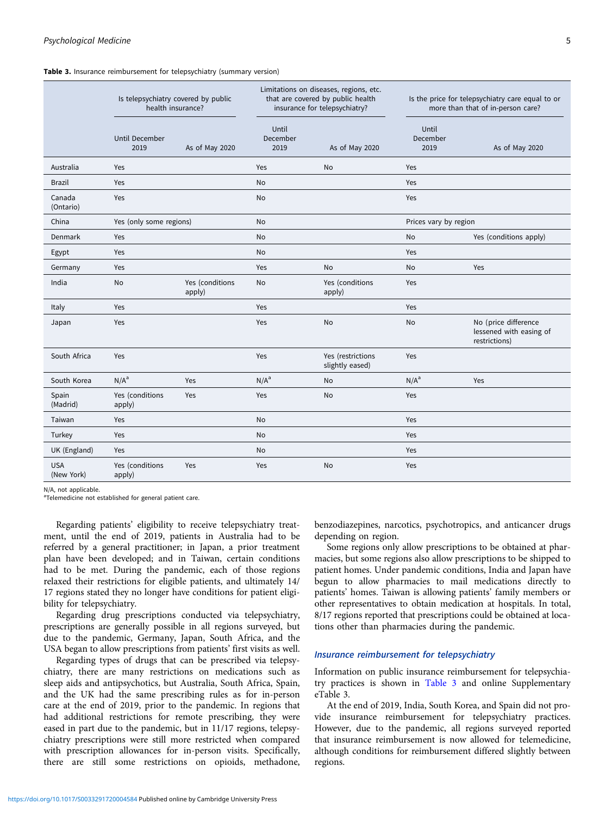| Table 3. Insurance reimbursement for telepsychiatry (summary version) |  |  |
|-----------------------------------------------------------------------|--|--|
|-----------------------------------------------------------------------|--|--|

|                          | Is telepsychiatry covered by public<br>health insurance? |                           |                           | Limitations on diseases, regions, etc.<br>that are covered by public health<br>insurance for telepsychiatry? | Is the price for telepsychiatry care equal to or<br>more than that of in-person care? |                                                                  |  |
|--------------------------|----------------------------------------------------------|---------------------------|---------------------------|--------------------------------------------------------------------------------------------------------------|---------------------------------------------------------------------------------------|------------------------------------------------------------------|--|
|                          | <b>Until December</b><br>2019                            | As of May 2020            | Until<br>December<br>2019 | As of May 2020                                                                                               | Until<br>December<br>2019                                                             | As of May 2020                                                   |  |
| Australia                | Yes                                                      |                           | Yes                       | <b>No</b>                                                                                                    | Yes                                                                                   |                                                                  |  |
| <b>Brazil</b>            | Yes                                                      |                           | No                        |                                                                                                              | Yes                                                                                   |                                                                  |  |
| Canada<br>(Ontario)      | Yes                                                      |                           | No                        |                                                                                                              | Yes                                                                                   |                                                                  |  |
| China                    | Yes (only some regions)                                  |                           | <b>No</b>                 |                                                                                                              | Prices vary by region                                                                 |                                                                  |  |
| Denmark                  | Yes                                                      |                           | No                        |                                                                                                              | <b>No</b>                                                                             | Yes (conditions apply)                                           |  |
| Egypt                    | Yes                                                      |                           | No                        |                                                                                                              | Yes                                                                                   |                                                                  |  |
| Germany                  | Yes                                                      |                           | Yes                       | <b>No</b>                                                                                                    | No                                                                                    | Yes                                                              |  |
| India                    | No                                                       | Yes (conditions<br>apply) | No                        | Yes (conditions<br>apply)                                                                                    | Yes                                                                                   |                                                                  |  |
| Italy                    | Yes                                                      |                           | Yes                       |                                                                                                              | Yes                                                                                   |                                                                  |  |
| Japan                    | Yes                                                      |                           | Yes                       | <b>No</b>                                                                                                    | <b>No</b>                                                                             | No (price difference<br>lessened with easing of<br>restrictions) |  |
| South Africa             | Yes                                                      |                           | Yes                       | Yes (restrictions<br>slightly eased)                                                                         | Yes                                                                                   |                                                                  |  |
| South Korea              | $N/A^a$                                                  | Yes                       | N/A <sup>a</sup>          | <b>No</b>                                                                                                    | N/A <sup>a</sup>                                                                      | Yes                                                              |  |
| Spain<br>(Madrid)        | Yes (conditions<br>apply)                                | Yes                       | Yes                       | <b>No</b>                                                                                                    | Yes                                                                                   |                                                                  |  |
| Taiwan                   | Yes                                                      |                           | No                        |                                                                                                              | Yes                                                                                   |                                                                  |  |
| Turkey                   | Yes                                                      |                           | <b>No</b>                 |                                                                                                              | Yes                                                                                   |                                                                  |  |
| UK (England)             | Yes                                                      |                           | <b>No</b>                 |                                                                                                              | Yes                                                                                   |                                                                  |  |
| <b>USA</b><br>(New York) | Yes (conditions<br>apply)                                | Yes                       | Yes                       | No                                                                                                           | Yes                                                                                   |                                                                  |  |

N/A, not applicable.

<sup>a</sup>Telemedicine not established for general patient care.

Regarding patients' eligibility to receive telepsychiatry treatment, until the end of 2019, patients in Australia had to be referred by a general practitioner; in Japan, a prior treatment plan have been developed; and in Taiwan, certain conditions had to be met. During the pandemic, each of those regions relaxed their restrictions for eligible patients, and ultimately 14/ 17 regions stated they no longer have conditions for patient eligibility for telepsychiatry.

Regarding drug prescriptions conducted via telepsychiatry, prescriptions are generally possible in all regions surveyed, but due to the pandemic, Germany, Japan, South Africa, and the USA began to allow prescriptions from patients' first visits as well.

Regarding types of drugs that can be prescribed via telepsychiatry, there are many restrictions on medications such as sleep aids and antipsychotics, but Australia, South Africa, Spain, and the UK had the same prescribing rules as for in-person care at the end of 2019, prior to the pandemic. In regions that had additional restrictions for remote prescribing, they were eased in part due to the pandemic, but in 11/17 regions, telepsychiatry prescriptions were still more restricted when compared with prescription allowances for in-person visits. Specifically, there are still some restrictions on opioids, methadone,

benzodiazepines, narcotics, psychotropics, and anticancer drugs depending on region.

Some regions only allow prescriptions to be obtained at pharmacies, but some regions also allow prescriptions to be shipped to patient homes. Under pandemic conditions, India and Japan have begun to allow pharmacies to mail medications directly to patients' homes. Taiwan is allowing patients' family members or other representatives to obtain medication at hospitals. In total, 8/17 regions reported that prescriptions could be obtained at locations other than pharmacies during the pandemic.

#### Insurance reimbursement for telepsychiatry

Information on public insurance reimbursement for telepsychiatry practices is shown in Table 3 and online Supplementary eTable 3.

At the end of 2019, India, South Korea, and Spain did not provide insurance reimbursement for telepsychiatry practices. However, due to the pandemic, all regions surveyed reported that insurance reimbursement is now allowed for telemedicine, although conditions for reimbursement differed slightly between regions.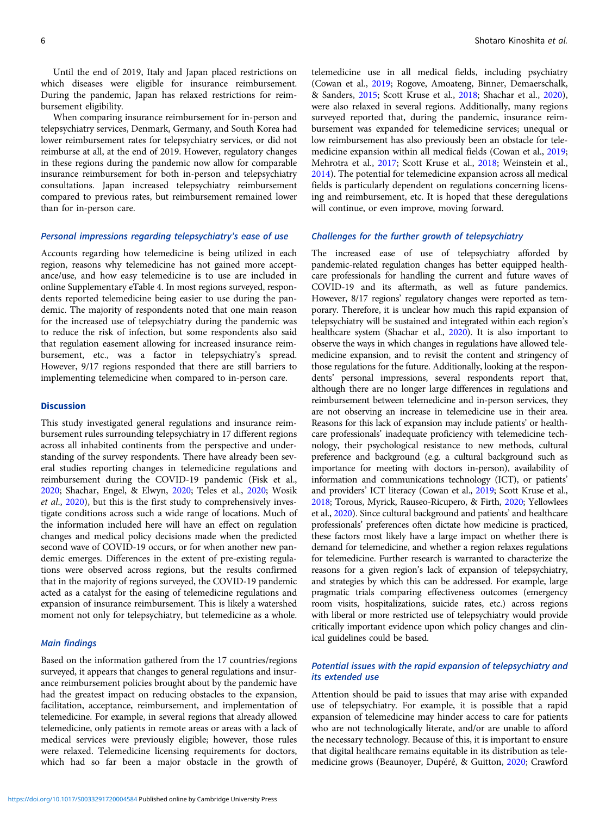Until the end of 2019, Italy and Japan placed restrictions on which diseases were eligible for insurance reimbursement. During the pandemic, Japan has relaxed restrictions for reimbursement eligibility.

When comparing insurance reimbursement for in-person and telepsychiatry services, Denmark, Germany, and South Korea had lower reimbursement rates for telepsychiatry services, or did not reimburse at all, at the end of 2019. However, regulatory changes in these regions during the pandemic now allow for comparable insurance reimbursement for both in-person and telepsychiatry consultations. Japan increased telepsychiatry reimbursement compared to previous rates, but reimbursement remained lower than for in-person care.

## Personal impressions regarding telepsychiatry's ease of use

Accounts regarding how telemedicine is being utilized in each region, reasons why telemedicine has not gained more acceptance/use, and how easy telemedicine is to use are included in online Supplementary eTable 4. In most regions surveyed, respondents reported telemedicine being easier to use during the pandemic. The majority of respondents noted that one main reason for the increased use of telepsychiatry during the pandemic was to reduce the risk of infection, but some respondents also said that regulation easement allowing for increased insurance reimbursement, etc., was a factor in telepsychiatry's spread. However, 9/17 regions responded that there are still barriers to implementing telemedicine when compared to in-person care.

## **Discussion**

This study investigated general regulations and insurance reimbursement rules surrounding telepsychiatry in 17 different regions across all inhabited continents from the perspective and understanding of the survey respondents. There have already been several studies reporting changes in telemedicine regulations and reimbursement during the COVID-19 pandemic (Fisk et al., [2020;](#page-7-0) Shachar, Engel, & Elwyn, [2020;](#page-7-0) Teles et al., [2020;](#page-7-0) Wosik et al., [2020\)](#page-7-0), but this is the first study to comprehensively investigate conditions across such a wide range of locations. Much of the information included here will have an effect on regulation changes and medical policy decisions made when the predicted second wave of COVID-19 occurs, or for when another new pandemic emerges. Differences in the extent of pre-existing regulations were observed across regions, but the results confirmed that in the majority of regions surveyed, the COVID-19 pandemic acted as a catalyst for the easing of telemedicine regulations and expansion of insurance reimbursement. This is likely a watershed moment not only for telepsychiatry, but telemedicine as a whole.

### Main findings

Based on the information gathered from the 17 countries/regions surveyed, it appears that changes to general regulations and insurance reimbursement policies brought about by the pandemic have had the greatest impact on reducing obstacles to the expansion, facilitation, acceptance, reimbursement, and implementation of telemedicine. For example, in several regions that already allowed telemedicine, only patients in remote areas or areas with a lack of medical services were previously eligible; however, those rules were relaxed. Telemedicine licensing requirements for doctors, which had so far been a major obstacle in the growth of

telemedicine use in all medical fields, including psychiatry (Cowan et al., [2019](#page-7-0); Rogove, Amoateng, Binner, Demaerschalk, & Sanders, [2015](#page-7-0); Scott Kruse et al., [2018;](#page-7-0) Shachar et al., [2020](#page-7-0)), were also relaxed in several regions. Additionally, many regions surveyed reported that, during the pandemic, insurance reimbursement was expanded for telemedicine services; unequal or low reimbursement has also previously been an obstacle for telemedicine expansion within all medical fields (Cowan et al., [2019;](#page-7-0) Mehrotra et al., [2017](#page-7-0); Scott Kruse et al., [2018;](#page-7-0) Weinstein et al., [2014\)](#page-7-0). The potential for telemedicine expansion across all medical fields is particularly dependent on regulations concerning licensing and reimbursement, etc. It is hoped that these deregulations will continue, or even improve, moving forward.

## Challenges for the further growth of telepsychiatry

The increased ease of use of telepsychiatry afforded by pandemic-related regulation changes has better equipped healthcare professionals for handling the current and future waves of COVID-19 and its aftermath, as well as future pandemics. However, 8/17 regions' regulatory changes were reported as temporary. Therefore, it is unclear how much this rapid expansion of telepsychiatry will be sustained and integrated within each region's healthcare system (Shachar et al., [2020\)](#page-7-0). It is also important to observe the ways in which changes in regulations have allowed telemedicine expansion, and to revisit the content and stringency of those regulations for the future. Additionally, looking at the respondents' personal impressions, several respondents report that, although there are no longer large differences in regulations and reimbursement between telemedicine and in-person services, they are not observing an increase in telemedicine use in their area. Reasons for this lack of expansion may include patients' or healthcare professionals' inadequate proficiency with telemedicine technology, their psychological resistance to new methods, cultural preference and background (e.g. a cultural background such as importance for meeting with doctors in-person), availability of information and communications technology (ICT), or patients' and providers' ICT literacy (Cowan et al., [2019;](#page-7-0) Scott Kruse et al., [2018](#page-7-0); Torous, Myrick, Rauseo-Ricupero, & Firth, [2020](#page-7-0); Yellowlees et al., [2020\)](#page-7-0). Since cultural background and patients' and healthcare professionals' preferences often dictate how medicine is practiced, these factors most likely have a large impact on whether there is demand for telemedicine, and whether a region relaxes regulations for telemedicine. Further research is warranted to characterize the reasons for a given region's lack of expansion of telepsychiatry, and strategies by which this can be addressed. For example, large pragmatic trials comparing effectiveness outcomes (emergency room visits, hospitalizations, suicide rates, etc.) across regions with liberal or more restricted use of telepsychiatry would provide critically important evidence upon which policy changes and clinical guidelines could be based.

## Potential issues with the rapid expansion of telepsychiatry and its extended use

Attention should be paid to issues that may arise with expanded use of telepsychiatry. For example, it is possible that a rapid expansion of telemedicine may hinder access to care for patients who are not technologically literate, and/or are unable to afford the necessary technology. Because of this, it is important to ensure that digital healthcare remains equitable in its distribution as telemedicine grows (Beaunoyer, Dupéré, & Guitton, [2020;](#page-7-0) Crawford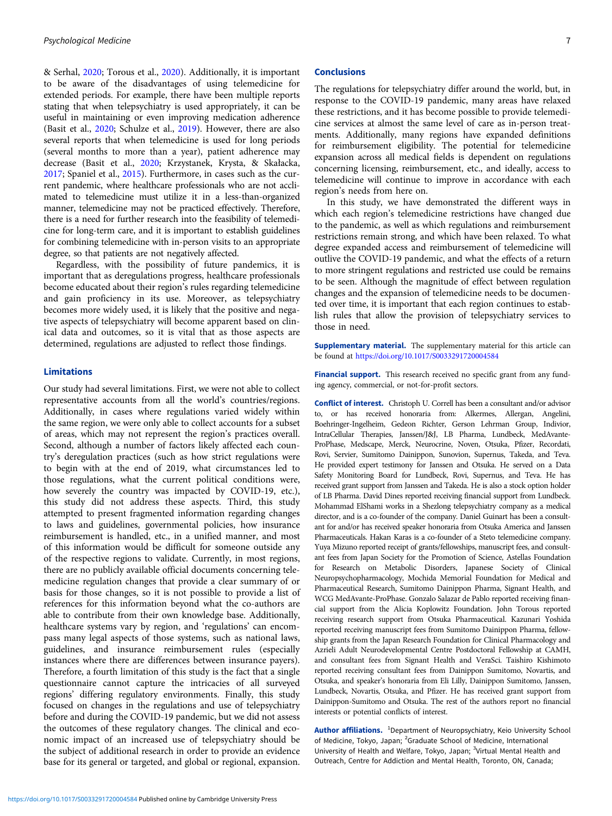& Serhal, [2020;](#page-7-0) Torous et al., [2020\)](#page-7-0). Additionally, it is important to be aware of the disadvantages of using telemedicine for extended periods. For example, there have been multiple reports stating that when telepsychiatry is used appropriately, it can be useful in maintaining or even improving medication adherence (Basit et al., [2020;](#page-7-0) Schulze et al., [2019](#page-7-0)). However, there are also several reports that when telemedicine is used for long periods (several months to more than a year), patient adherence may decrease (Basit et al., [2020;](#page-7-0) Krzystanek, Krysta, & Skałacka, [2017;](#page-7-0) Spaniel et al., [2015](#page-7-0)). Furthermore, in cases such as the current pandemic, where healthcare professionals who are not acclimated to telemedicine must utilize it in a less-than-organized manner, telemedicine may not be practiced effectively. Therefore, there is a need for further research into the feasibility of telemedicine for long-term care, and it is important to establish guidelines for combining telemedicine with in-person visits to an appropriate degree, so that patients are not negatively affected.

Regardless, with the possibility of future pandemics, it is important that as deregulations progress, healthcare professionals become educated about their region's rules regarding telemedicine and gain proficiency in its use. Moreover, as telepsychiatry becomes more widely used, it is likely that the positive and negative aspects of telepsychiatry will become apparent based on clinical data and outcomes, so it is vital that as those aspects are determined, regulations are adjusted to reflect those findings.

## Limitations

Our study had several limitations. First, we were not able to collect representative accounts from all the world's countries/regions. Additionally, in cases where regulations varied widely within the same region, we were only able to collect accounts for a subset of areas, which may not represent the region's practices overall. Second, although a number of factors likely affected each country's deregulation practices (such as how strict regulations were to begin with at the end of 2019, what circumstances led to those regulations, what the current political conditions were, how severely the country was impacted by COVID-19, etc.), this study did not address these aspects. Third, this study attempted to present fragmented information regarding changes to laws and guidelines, governmental policies, how insurance reimbursement is handled, etc., in a unified manner, and most of this information would be difficult for someone outside any of the respective regions to validate. Currently, in most regions, there are no publicly available official documents concerning telemedicine regulation changes that provide a clear summary of or basis for those changes, so it is not possible to provide a list of references for this information beyond what the co-authors are able to contribute from their own knowledge base. Additionally, healthcare systems vary by region, and 'regulations' can encompass many legal aspects of those systems, such as national laws, guidelines, and insurance reimbursement rules (especially instances where there are differences between insurance payers). Therefore, a fourth limitation of this study is the fact that a single questionnaire cannot capture the intricacies of all surveyed regions' differing regulatory environments. Finally, this study focused on changes in the regulations and use of telepsychiatry before and during the COVID-19 pandemic, but we did not assess the outcomes of these regulatory changes. The clinical and economic impact of an increased use of telepsychiatry should be the subject of additional research in order to provide an evidence base for its general or targeted, and global or regional, expansion.

#### **Conclusions**

The regulations for telepsychiatry differ around the world, but, in response to the COVID-19 pandemic, many areas have relaxed these restrictions, and it has become possible to provide telemedicine services at almost the same level of care as in-person treatments. Additionally, many regions have expanded definitions for reimbursement eligibility. The potential for telemedicine expansion across all medical fields is dependent on regulations concerning licensing, reimbursement, etc., and ideally, access to telemedicine will continue to improve in accordance with each region's needs from here on.

In this study, we have demonstrated the different ways in which each region's telemedicine restrictions have changed due to the pandemic, as well as which regulations and reimbursement restrictions remain strong, and which have been relaxed. To what degree expanded access and reimbursement of telemedicine will outlive the COVID-19 pandemic, and what the effects of a return to more stringent regulations and restricted use could be remains to be seen. Although the magnitude of effect between regulation changes and the expansion of telemedicine needs to be documented over time, it is important that each region continues to establish rules that allow the provision of telepsychiatry services to those in need.

Supplementary material. The supplementary material for this article can be found at <https://doi.org/10.1017/S0033291720004584>

Financial support. This research received no specific grant from any funding agency, commercial, or not-for-profit sectors.

Conflict of interest. Christoph U. Correll has been a consultant and/or advisor to, or has received honoraria from: Alkermes, Allergan, Angelini, Boehringer-Ingelheim, Gedeon Richter, Gerson Lehrman Group, Indivior, IntraCellular Therapies, Janssen/J&J, LB Pharma, Lundbeck, MedAvante-ProPhase, Medscape, Merck, Neurocrine, Noven, Otsuka, Pfizer, Recordati, Rovi, Servier, Sumitomo Dainippon, Sunovion, Supernus, Takeda, and Teva. He provided expert testimony for Janssen and Otsuka. He served on a Data Safety Monitoring Board for Lundbeck, Rovi, Supernus, and Teva. He has received grant support from Janssen and Takeda. He is also a stock option holder of LB Pharma. David Dines reported receiving financial support from Lundbeck. Mohammad ElShami works in a Shezlong telepsychiatry company as a medical director, and is a co-founder of the company. Daniel Guinart has been a consultant for and/or has received speaker honoraria from Otsuka America and Janssen Pharmaceuticals. Hakan Karas is a co-founder of a Steto telemedicine company. Yuya Mizuno reported receipt of grants/fellowships, manuscript fees, and consultant fees from Japan Society for the Promotion of Science, Astellas Foundation for Research on Metabolic Disorders, Japanese Society of Clinical Neuropsychopharmacology, Mochida Memorial Foundation for Medical and Pharmaceutical Research, Sumitomo Dainippon Pharma, Signant Health, and WCG MedAvante-ProPhase. Gonzalo Salazar de Pablo reported receiving financial support from the Alicia Koplowitz Foundation. John Torous reported receiving research support from Otsuka Pharmaceutical. Kazunari Yoshida reported receiving manuscript fees from Sumitomo Dainippon Pharma, fellowship grants from the Japan Research Foundation for Clinical Pharmacology and Azrieli Adult Neurodevelopmental Centre Postdoctoral Fellowship at CAMH, and consultant fees from Signant Health and VeraSci. Taishiro Kishimoto reported receiving consultant fees from Dainippon Sumitomo, Novartis, and Otsuka, and speaker's honoraria from Eli Lilly, Dainippon Sumitomo, Janssen, Lundbeck, Novartis, Otsuka, and Pfizer. He has received grant support from Dainippon-Sumitomo and Otsuka. The rest of the authors report no financial interests or potential conflicts of interest.

Author affiliations. <sup>1</sup>Department of Neuropsychiatry, Keio University School of Medicine, Tokyo, Japan; <sup>2</sup>Graduate School of Medicine, International University of Health and Welfare, Tokyo, Japan; <sup>3</sup>Virtual Mental Health and Outreach, Centre for Addiction and Mental Health, Toronto, ON, Canada;